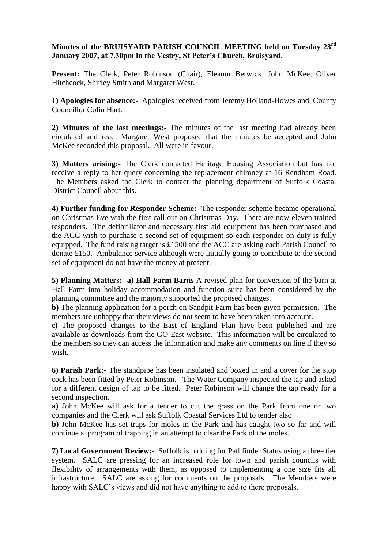## **Minutes of the BRUISYARD PARISH COUNCIL MEETING held on Tuesday 23rd January 2007, at 7.30pm in the Vestry, St Peter's Church, Bruisyard**.

**Present:** The Clerk, Peter Robinson (Chair), Eleanor Berwick, John McKee, Oliver Hitchcock, Shirley Smith and Margaret West.

**1) Apologies for absence:-** Apologies received from Jeremy Holland-Howes and County Councillor Colin Hart.

**2) Minutes of the last meetings:-** The minutes of the last meeting had already been circulated and read. Margaret West proposed that the minutes be accepted and John McKee seconded this proposal. All were in favour.

**3) Matters arising:-** The Clerk contacted Heritage Housing Association but has not receive a reply to her query concerning the replacement chimney at 16 Rendham Road. The Members asked the Clerk to contact the planning department of Suffolk Coastal District Council about this.

**4) Further funding for Responder Scheme:-** The responder scheme became operational on Christmas Eve with the first call out on Christmas Day. There are now eleven trained responders. The defibrillator and necessary first aid equipment has been purchased and the ACC wish to purchase a second set of equipment so each responder on duty is fully equipped. The fund raising target is £1500 and the ACC are asking each Parish Council to donate £150. Ambulance service although were initially going to contribute to the second set of equipment do not have the money at present.

**5) Planning Matters:- a) Hall Farm Barns** A revised plan for conversion of the barn at Hall Farm into holiday accommodation and function suite has been considered by the planning committee and the majority supported the proposed changes.

**b)** The planning application for a porch on Sandpit Farm has been given permission. The members are unhappy that their views do not seem to have been taken into account.

**c)** The proposed changes to the East of England Plan have been published and are available as downloads from the GO-East website. This information will be circulated to the members so they can access the information and make any comments on line if they so wish.

**6) Parish Park:-** The standpipe has been insulated and boxed in and a cover for the stop cock has been fitted by Peter Robinson. The Water Company inspected the tap and asked for a different design of tap to be fitted. Peter Robinson will change the tap ready for a second inspection.

**a)** John McKee will ask for a tender to cut the grass on the Park from one or two companies and the Clerk will ask Suffolk Coastal Services Ltd to tender also

**b)** John McKee has set traps for moles in the Park and has caught two so far and will continue a program of trapping in an attempt to clear the Park of the moles.

**7) Local Government Review:-** Suffolk is bidding for Pathfinder Status using a three tier system. SALC are pressing for an increased role for town and parish councils with flexibility of arrangements with them, as opposed to implementing a one size fits all infrastructure. SALC are asking for comments on the proposals. The Members were happy with SALC's views and did not have anything to add to there proposals.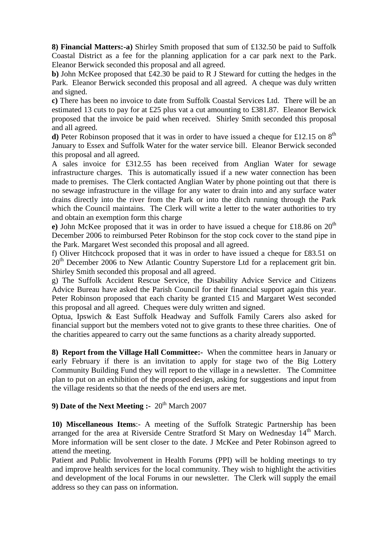**8) Financial Matters:-a)** Shirley Smith proposed that sum of £132.50 be paid to Suffolk Coastal District as a fee for the planning application for a car park next to the Park. Eleanor Berwick seconded this proposal and all agreed.

**b)** John McKee proposed that £42.30 be paid to R J Steward for cutting the hedges in the Park. Eleanor Berwick seconded this proposal and all agreed. A cheque was duly written and signed.

**c)** There has been no invoice to date from Suffolk Coastal Services Ltd. There will be an estimated 13 cuts to pay for at £25 plus vat a cut amounting to £381.87. Eleanor Berwick proposed that the invoice be paid when received. Shirley Smith seconded this proposal and all agreed.

**d**) Peter Robinson proposed that it was in order to have issued a cheque for £12.15 on  $8<sup>th</sup>$ January to Essex and Suffolk Water for the water service bill. Eleanor Berwick seconded this proposal and all agreed.

A sales invoice for £312.55 has been received from Anglian Water for sewage infrastructure charges. This is automatically issued if a new water connection has been made to premises. The Clerk contacted Anglian Water by phone pointing out that there is no sewage infrastructure in the village for any water to drain into and any surface water drains directly into the river from the Park or into the ditch running through the Park which the Council maintains. The Clerk will write a letter to the water authorities to try and obtain an exemption form this charge

**e**) John McKee proposed that it was in order to have issued a cheque for £18.86 on  $20<sup>th</sup>$ December 2006 to reimbursed Peter Robinson for the stop cock cover to the stand pipe in the Park. Margaret West seconded this proposal and all agreed.

f) Oliver Hitchcock proposed that it was in order to have issued a cheque for £83.51 on  $20<sup>th</sup>$  December 2006 to New Atlantic Country Superstore Ltd for a replacement grit bin. Shirley Smith seconded this proposal and all agreed.

g) The Suffolk Accident Rescue Service, the Disability Advice Service and Citizens Advice Bureau have asked the Parish Council for their financial support again this year. Peter Robinson proposed that each charity be granted £15 and Margaret West seconded this proposal and all agreed. Cheques were duly written and signed.

Optua, Ipswich & East Suffolk Headway and Suffolk Family Carers also asked for financial support but the members voted not to give grants to these three charities. One of the charities appeared to carry out the same functions as a charity already supported.

**8) Report from the Village Hall Committee:-** When the committee hears in January or early February if there is an invitation to apply for stage two of the Big Lottery Community Building Fund they will report to the village in a newsletter. The Committee plan to put on an exhibition of the proposed design, asking for suggestions and input from the village residents so that the needs of the end users are met.

## **9) Date of the Next Meeting :-** 20<sup>th</sup> March 2007

**10) Miscellaneous Items**:- A meeting of the Suffolk Strategic Partnership has been arranged for the area at Riverside Centre Stratford St Mary on Wednesday  $14<sup>th</sup>$  March. More information will be sent closer to the date. J McKee and Peter Robinson agreed to attend the meeting.

Patient and Public Involvement in Health Forums (PPI) will be holding meetings to try and improve health services for the local community. They wish to highlight the activities and development of the local Forums in our newsletter. The Clerk will supply the email address so they can pass on information.